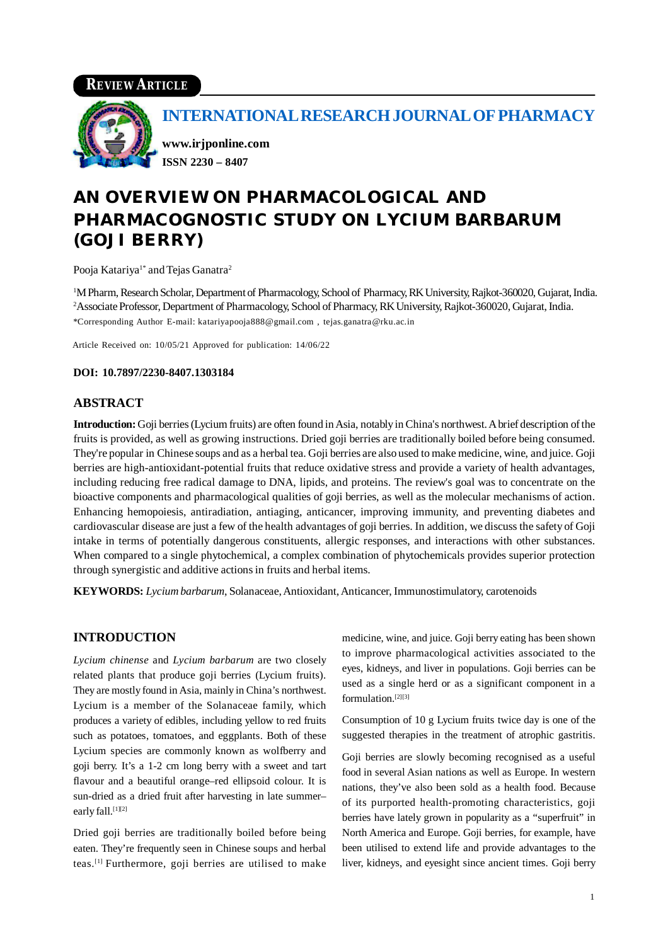## **REVIEW ARTICLE**



## **INTERNATIONAL RESEARCH JOURNAL OF PHARMACY**

**[www.irjponline.com](http://www.irjponline.com) ISSN 2230 – 8407**

# **AN OVERVIEW ON PHARMACOLOGICAL AND PHARMACOGNOSTIC STUDY ON** *LYCIUM BARBARUM* **(GOJI BERRY)**

Pooja Katariya<sup>1\*</sup> and Tejas Ganatra<sup>2</sup>

<sup>1</sup>M Pharm, Research Scholar, Department of Pharmacology, School of Pharmacy, RK University, Rajkot-360020, Gujarat, India. <sup>2</sup> Associate Professor, Department of Pharmacology, School of Pharmacy, RK University, Rajkot-360020, Gujarat, India. \*Corresponding Author E-mail: [katariyapooja888@gmail.com](mailto:katariyapooja888@gmail.com) , [tejas.ganatra@rku.ac.in](mailto:tejas.ganatra@rku.ac.in)

Article Received on: 10/05/21 Approved for publication: 14/06/22

#### **DOI: 10.7897/2230-8407.1303184**

#### **ABSTRACT**

**Introduction:** Goji berries (Lycium fruits) are often found in Asia, notably in China's northwest. A brief description of the fruits is provided, as well as growing instructions. Dried goji berries are traditionally boiled before being consumed. They're popular in Chinese soups and as a herbal tea. Goji berries are also used to make medicine, wine, and juice. Goji berries are high-antioxidant-potential fruits that reduce oxidative stress and provide a variety of health advantages, including reducing free radical damage to DNA, lipids, and proteins. The review's goal was to concentrate on the bioactive components and pharmacological qualities of goji berries, as well as the molecular mechanisms of action. Enhancing hemopoiesis, antiradiation, antiaging, anticancer, improving immunity, and preventing diabetes and cardiovascular disease are just a few of the health advantages of goji berries. In addition, we discuss the safety of Goji intake in terms of potentially dangerous constituents, allergic responses, and interactions with other substances. When compared to a single phytochemical, a complex combination of phytochemicals provides superior protection through synergistic and additive actions in fruits and herbal items.

**KEYWORDS:** *Lycium barbarum*, Solanaceae, Antioxidant, Anticancer, Immunostimulatory, carotenoids

#### **INTRODUCTION**

*Lycium chinense* and *Lycium barbarum* are two closely related plants that produce goji berries (Lycium fruits). They are mostly found in Asia, mainly in China's northwest. Lycium is a member of the Solanaceae family, which produces a variety of edibles, including yellow to red fruits such as potatoes, tomatoes, and eggplants. Both of these Lycium species are commonly known as wolfberry and goji berry. It's a 1-2 cm long berry with a sweet and tart flavour and a beautiful orange–red ellipsoid colour. It is sun-dried as a dried fruit after harvesting in late summer– early fall.<sup>[1][2]</sup>

Dried goji berries are traditionally boiled before being eaten. They're frequently seen in Chinese soups and herbal teas.[1] Furthermore, goji berries are utilised to make medicine, wine, and juice. Goji berry eating has been shown to improve pharmacological activities associated to the eyes, kidneys, and liver in populations. Goji berries can be used as a single herd or as a significant component in a formulation.[2][3]

Consumption of 10 g Lycium fruits twice day is one of the suggested therapies in the treatment of atrophic gastritis.

Goji berries are slowly becoming recognised as a useful food in several Asian nations as well as Europe. In western nations, they've also been sold as a health food. Because of its purported health-promoting characteristics, goji berries have lately grown in popularity as a "superfruit" in North America and Europe. Goji berries, for example, have been utilised to extend life and provide advantages to the liver, kidneys, and eyesight since ancient times. Goji berry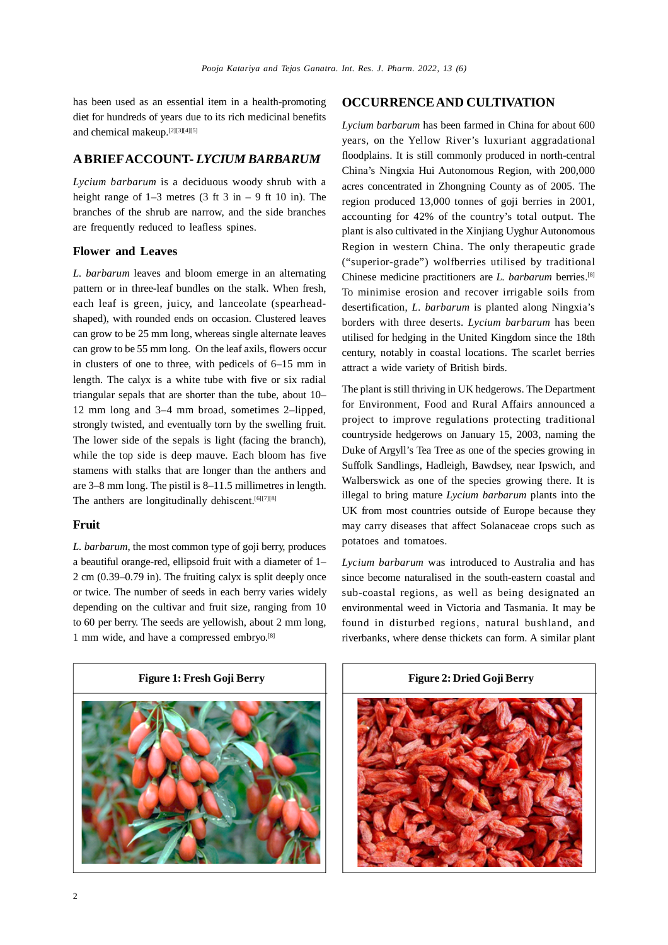has been used as an essential item in a health-promoting diet for hundreds of years due to its rich medicinal benefits and chemical makeup.[2][3][4][5]

#### **A BRIEFACCOUNT-** *LYCIUM BARBARUM*

*Lycium barbarum* is a deciduous woody shrub with a height range of  $1-3$  metres  $(3 \text{ ft } 3 \text{ in } -9 \text{ ft } 10 \text{ in})$ . The branches of the shrub are narrow, and the side branches are frequently reduced to leafless spines.

#### **Flower and Leaves**

*L. barbarum* leaves and bloom emerge in an alternating pattern or in three-leaf bundles on the stalk. When fresh, each leaf is green, juicy, and lanceolate (spearheadshaped), with rounded ends on occasion. Clustered leaves can grow to be 25 mm long, whereas single alternate leaves can grow to be 55 mm long. On the leaf axils, flowers occur in clusters of one to three, with pedicels of 6–15 mm in length. The calyx is a white tube with five or six radial triangular sepals that are shorter than the tube, about 10– 12 mm long and 3–4 mm broad, sometimes 2–lipped, strongly twisted, and eventually torn by the swelling fruit. The lower side of the sepals is light (facing the branch), while the top side is deep mauve. Each bloom has five stamens with stalks that are longer than the anthers and are 3–8 mm long. The pistil is 8–11.5 millimetres in length. The anthers are longitudinally dehiscent.  $[6][7][8]$ 

#### **Fruit**

*L. barbarum*, the most common type of goji berry, produces a beautiful orange-red, ellipsoid fruit with a diameter of 1– 2 cm (0.39–0.79 in). The fruiting calyx is split deeply once or twice. The number of seeds in each berry varies widely depending on the cultivar and fruit size, ranging from 10 to 60 per berry. The seeds are yellowish, about 2 mm long, 1 mm wide, and have a compressed embryo.[8]

#### **OCCURRENCE AND CULTIVATION**

*Lycium barbarum* has been farmed in China for about 600 years, on the Yellow River's luxuriant aggradational floodplains. It is still commonly produced in north-central China's Ningxia Hui Autonomous Region, with 200,000 acres concentrated in Zhongning County as of 2005. The region produced 13,000 tonnes of goji berries in 2001, accounting for 42% of the country's total output. The plant is also cultivated in the Xinjiang Uyghur Autonomous Region in western China. The only therapeutic grade ("superior-grade") wolfberries utilised by traditional Chinese medicine practitioners are *L. barbarum* berries.[8] To minimise erosion and recover irrigable soils from desertification, *L. barbarum* is planted along Ningxia's borders with three deserts. *Lycium barbarum* has been utilised for hedging in the United Kingdom since the 18th century, notably in coastal locations. The scarlet berries attract a wide variety of British birds.

The plant is still thriving in UK hedgerows. The Department for Environment, Food and Rural Affairs announced a project to improve regulations protecting traditional countryside hedgerows on January 15, 2003, naming the Duke of Argyll's Tea Tree as one of the species growing in Suffolk Sandlings, Hadleigh, Bawdsey, near Ipswich, and Walberswick as one of the species growing there. It is illegal to bring mature *Lycium barbarum* plants into the UK from most countries outside of Europe because they may carry diseases that affect Solanaceae crops such as potatoes and tomatoes.

*Lycium barbarum* was introduced to Australia and has since become naturalised in the south-eastern coastal and sub-coastal regions, as well as being designated an environmental weed in Victoria and Tasmania. It may be found in disturbed regions, natural bushland, and riverbanks, where dense thickets can form. A similar plant

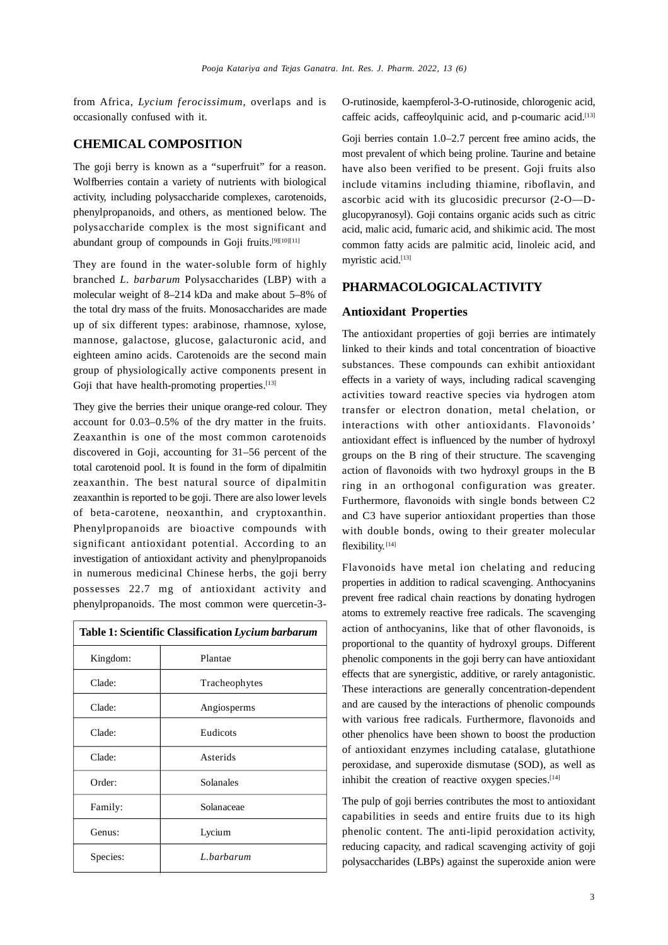from Africa, *Lycium ferocissimum*, overlaps and is occasionally confused with it.

#### **CHEMICAL COMPOSITION**

The goji berry is known as a "superfruit" for a reason. Wolfberries contain a variety of nutrients with biological activity, including polysaccharide complexes, carotenoids, phenylpropanoids, and others, as mentioned below. The polysaccharide complex is the most significant and abundant group of compounds in Goji fruits.<sup>[9][10][11]</sup>

They are found in the water-soluble form of highly branched *L. barbarum* Polysaccharides (LBP) with a molecular weight of 8–214 kDa and make about 5–8% of the total dry mass of the fruits. Monosaccharides are made up of six different types: arabinose, rhamnose, xylose, mannose, galactose, glucose, galacturonic acid, and eighteen amino acids. Carotenoids are the second main group of physiologically active components present in Goji that have health-promoting properties.<sup>[13]</sup>

They give the berries their unique orange-red colour. They account for 0.03–0.5% of the dry matter in the fruits. Zeaxanthin is one of the most common carotenoids discovered in Goji, accounting for 31–56 percent of the total carotenoid pool. It is found in the form of dipalmitin zeaxanthin. The best natural source of dipalmitin zeaxanthin is reported to be goji. There are also lower levels of beta-carotene, neoxanthin, and cryptoxanthin. Phenylpropanoids are bioactive compounds with significant antioxidant potential. According to an investigation of antioxidant activity and phenylpropanoids in numerous medicinal Chinese herbs, the goji berry possesses 22.7 mg of antioxidant activity and phenylpropanoids. The most common were quercetin-3-

| Table 1: Scientific Classification Lycium barbarum |               |
|----------------------------------------------------|---------------|
| Kingdom:                                           | Plantae       |
| Clade:                                             | Tracheophytes |
| Clade:                                             | Angiosperms   |
| Clade:                                             | Eudicots      |
| Clade:                                             | Asterids      |
| Order:                                             | Solanales     |
| Family:                                            | Solanaceae    |
| Genus:                                             | Lycium        |
| Species:                                           | L.barbarum    |

O-rutinoside, kaempferol-3-O-rutinoside, chlorogenic acid, caffeic acids, caffeoylquinic acid, and p-coumaric acid.[13]

Goji berries contain 1.0–2.7 percent free amino acids, the most prevalent of which being proline. Taurine and betaine have also been verified to be present. Goji fruits also include vitamins including thiamine, riboflavin, and ascorbic acid with its glucosidic precursor (2-O—Dglucopyranosyl). Goji contains organic acids such as citric acid, malic acid, fumaric acid, and shikimic acid. The most common fatty acids are palmitic acid, linoleic acid, and myristic acid.[13]

#### **PHARMACOLOGICALACTIVITY**

#### **Antioxidant Properties**

The antioxidant properties of goji berries are intimately linked to their kinds and total concentration of bioactive substances. These compounds can exhibit antioxidant effects in a variety of ways, including radical scavenging activities toward reactive species via hydrogen atom transfer or electron donation, metal chelation, or interactions with other antioxidants. Flavonoids' antioxidant effect is influenced by the number of hydroxyl groups on the B ring of their structure. The scavenging action of flavonoids with two hydroxyl groups in the B ring in an orthogonal configuration was greater. Furthermore, flavonoids with single bonds between C2 and C3 have superior antioxidant properties than those with double bonds, owing to their greater molecular flexibility.<sup>[14]</sup>

Flavonoids have metal ion chelating and reducing properties in addition to radical scavenging. Anthocyanins prevent free radical chain reactions by donating hydrogen atoms to extremely reactive free radicals. The scavenging action of anthocyanins, like that of other flavonoids, is proportional to the quantity of hydroxyl groups. Different phenolic components in the goji berry can have antioxidant effects that are synergistic, additive, or rarely antagonistic. These interactions are generally concentration-dependent and are caused by the interactions of phenolic compounds with various free radicals. Furthermore, flavonoids and other phenolics have been shown to boost the production of antioxidant enzymes including catalase, glutathione peroxidase, and superoxide dismutase (SOD), as well as inhibit the creation of reactive oxygen species.<sup>[14]</sup>

The pulp of goji berries contributes the most to antioxidant capabilities in seeds and entire fruits due to its high phenolic content. The anti-lipid peroxidation activity, reducing capacity, and radical scavenging activity of goji polysaccharides (LBPs) against the superoxide anion were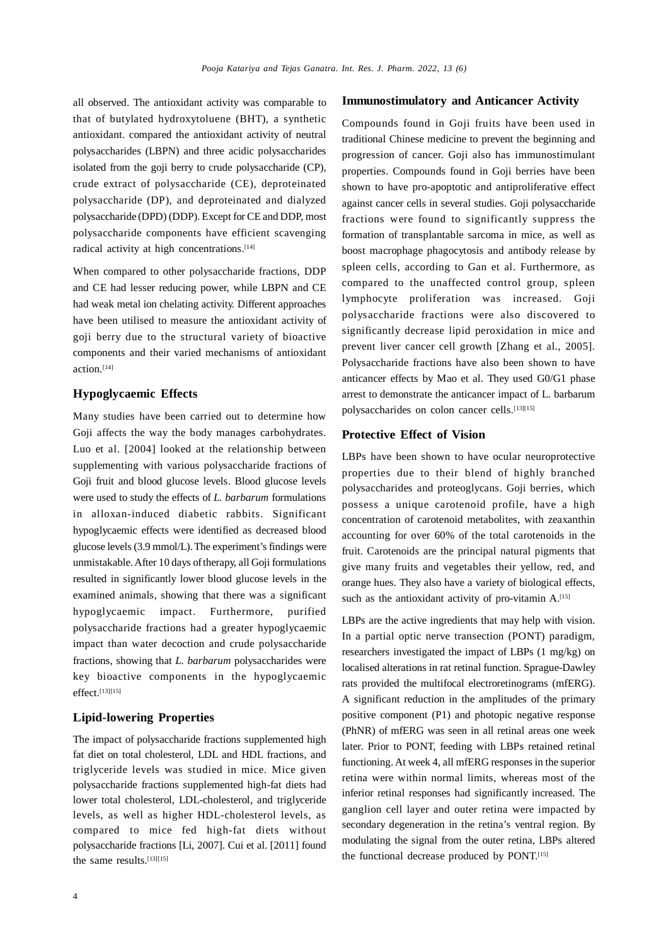all observed. The antioxidant activity was comparable to that of butylated hydroxytoluene (BHT), a synthetic antioxidant. compared the antioxidant activity of neutral polysaccharides (LBPN) and three acidic polysaccharides isolated from the goji berry to crude polysaccharide (CP), crude extract of polysaccharide (CE), deproteinated polysaccharide (DP), and deproteinated and dialyzed polysaccharide (DPD) (DDP). Except for CE and DDP, most polysaccharide components have efficient scavenging radical activity at high concentrations.<sup>[14]</sup>

When compared to other polysaccharide fractions, DDP and CE had lesser reducing power, while LBPN and CE had weak metal ion chelating activity. Different approaches have been utilised to measure the antioxidant activity of goji berry due to the structural variety of bioactive components and their varied mechanisms of antioxidant action.[14]

#### **Hypoglycaemic Effects**

Many studies have been carried out to determine how Goji affects the way the body manages carbohydrates. Luo et al. [2004] looked at the relationship between supplementing with various polysaccharide fractions of Goji fruit and blood glucose levels. Blood glucose levels were used to study the effects of *L. barbarum* formulations in alloxan-induced diabetic rabbits. Significant hypoglycaemic effects were identified as decreased blood glucose levels (3.9 mmol/L). The experiment's findings were unmistakable. After 10 days of therapy, all Goji formulations resulted in significantly lower blood glucose levels in the examined animals, showing that there was a significant hypoglycaemic impact. Furthermore, purified polysaccharide fractions had a greater hypoglycaemic impact than water decoction and crude polysaccharide fractions, showing that *L. barbarum* polysaccharides were key bioactive components in the hypoglycaemic effect.[13][15]

#### **Lipid-lowering Properties**

The impact of polysaccharide fractions supplemented high fat diet on total cholesterol, LDL and HDL fractions, and triglyceride levels was studied in mice. Mice given polysaccharide fractions supplemented high-fat diets had lower total cholesterol, LDL-cholesterol, and triglyceride levels, as well as higher HDL-cholesterol levels, as compared to mice fed high-fat diets without polysaccharide fractions [Li, 2007]. Cui et al. [2011] found the same results.<sup>[13][15]</sup>

### **Immunostimulatory and Anticancer Activity**

Compounds found in Goji fruits have been used in traditional Chinese medicine to prevent the beginning and progression of cancer. Goji also has immunostimulant properties. Compounds found in Goji berries have been shown to have pro-apoptotic and antiproliferative effect against cancer cells in several studies. Goji polysaccharide fractions were found to significantly suppress the formation of transplantable sarcoma in mice, as well as boost macrophage phagocytosis and antibody release by spleen cells, according to Gan et al. Furthermore, as compared to the unaffected control group, spleen lymphocyte proliferation was increased. Goji polysaccharide fractions were also discovered to significantly decrease lipid peroxidation in mice and prevent liver cancer cell growth [Zhang et al., 2005]. Polysaccharide fractions have also been shown to have anticancer effects by Mao et al. They used G0/G1 phase arrest to demonstrate the anticancer impact of L. barbarum polysaccharides on colon cancer cells.<sup>[13][15]</sup>

#### **Protective Effect of Vision**

LBPs have been shown to have ocular neuroprotective properties due to their blend of highly branched polysaccharides and proteoglycans. Goji berries, which possess a unique carotenoid profile, have a high concentration of carotenoid metabolites, with zeaxanthin accounting for over 60% of the total carotenoids in the fruit. Carotenoids are the principal natural pigments that give many fruits and vegetables their yellow, red, and orange hues. They also have a variety of biological effects, such as the antioxidant activity of pro-vitamin A.<sup>[15]</sup>

LBPs are the active ingredients that may help with vision. In a partial optic nerve transection (PONT) paradigm, researchers investigated the impact of LBPs (1 mg/kg) on localised alterations in rat retinal function. Sprague-Dawley rats provided the multifocal electroretinograms (mfERG). A significant reduction in the amplitudes of the primary positive component (P1) and photopic negative response (PhNR) of mfERG was seen in all retinal areas one week later. Prior to PONT, feeding with LBPs retained retinal functioning. At week 4, all mfERG responses in the superior retina were within normal limits, whereas most of the inferior retinal responses had significantly increased. The ganglion cell layer and outer retina were impacted by secondary degeneration in the retina's ventral region. By modulating the signal from the outer retina, LBPs altered the functional decrease produced by PONT.<sup>[15]</sup>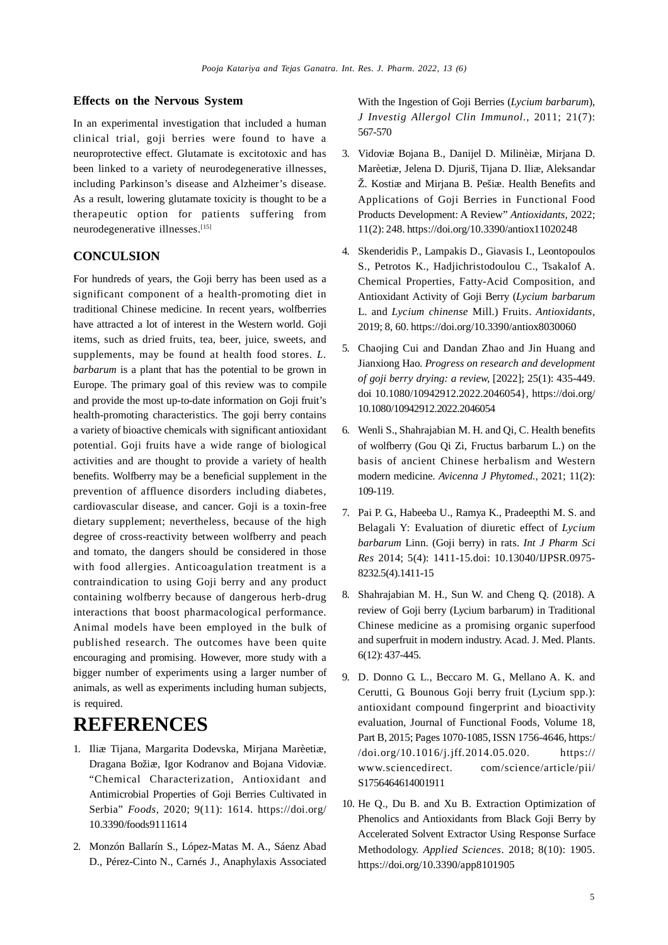#### **Effects on the Nervous System**

In an experimental investigation that included a human clinical trial, goji berries were found to have a neuroprotective effect. Glutamate is excitotoxic and has been linked to a variety of neurodegenerative illnesses, including Parkinson's disease and Alzheimer's disease. As a result, lowering glutamate toxicity is thought to be a therapeutic option for patients suffering from neurodegenerative illnesses.[15]

#### **CONCULSION**

For hundreds of years, the Goji berry has been used as a significant component of a health-promoting diet in traditional Chinese medicine. In recent years, wolfberries have attracted a lot of interest in the Western world. Goji items, such as dried fruits, tea, beer, juice, sweets, and supplements, may be found at health food stores. *L. barbarum* is a plant that has the potential to be grown in Europe. The primary goal of this review was to compile and provide the most up-to-date information on Goji fruit's health-promoting characteristics. The goji berry contains a variety of bioactive chemicals with significant antioxidant potential. Goji fruits have a wide range of biological activities and are thought to provide a variety of health benefits. Wolfberry may be a beneficial supplement in the prevention of affluence disorders including diabetes, cardiovascular disease, and cancer. Goji is a toxin-free dietary supplement; nevertheless, because of the high degree of cross-reactivity between wolfberry and peach and tomato, the dangers should be considered in those with food allergies. Anticoagulation treatment is a contraindication to using Goji berry and any product containing wolfberry because of dangerous herb-drug interactions that boost pharmacological performance. Animal models have been employed in the bulk of published research. The outcomes have been quite encouraging and promising. However, more study with a bigger number of experiments using a larger number of animals, as well as experiments including human subjects, is required.

# **REFERENCES**

- 1. Iliæ Tijana, Margarita Dodevska, Mirjana Marèetiæ, Dragana Božiæ, Igor Kodranov and Bojana Vidoviæ. "Chemical Characterization, Antioxidant and Antimicrobial Properties of Goji Berries Cultivated in Serbia" *Foods,* 2020; 9(11): 1614. <https://doi.org/> 10.3390/foods9111614
- 2. Monzón Ballarín S., López-Matas M. A., Sáenz Abad D., Pérez-Cinto N., Carnés J., Anaphylaxis Associated

With the Ingestion of Goji Berries (*Lycium barbarum*), *J Investig Allergol Clin Immunol.,* 2011; 21(7): 567-570

- 3. Vidoviæ Bojana B., Danijel D. Milinèiæ, Mirjana D. Marèetiæ, Jelena D. Djuriš, Tijana D. Iliæ, Aleksandar Ž. Kostiæ and Mirjana B. Pešiæ. Health Benefits and Applications of Goji Berries in Functional Food Products Development: A Review" *Antioxidants,* 2022; 11(2): 248.<https://doi.org/10.3390/antiox11020248>
- 4. Skenderidis P., Lampakis D., Giavasis I., Leontopoulos S., Petrotos K., Hadjichristodoulou C., Tsakalof A. Chemical Properties, Fatty-Acid Composition, and Antioxidant Activity of Goji Berry (*Lycium barbarum* L. and *Lycium chinense* Mill.) Fruits. *Antioxidants,* 2019; 8, 60.<https://doi.org/10.3390/antiox8030060>
- 5. Chaojing Cui and Dandan Zhao and Jin Huang and Jianxiong Hao. *Progress on research and development of goji berry drying: a review,* [2022]; 25(1): 435-449. doi 10.1080/10942912.2022.2046054}, <https://doi.org/> 10.1080/10942912.2022.2046054
- 6. Wenli S., Shahrajabian M. H. and Qi, C. Health benefits of wolfberry (Gou Qi Zi, Fructus barbarum L.) on the basis of ancient Chinese herbalism and Western modern medicine. *Avicenna J Phytomed.*, 2021; 11(2): 109-119.
- 7. Pai P. G., Habeeba U., Ramya K., Pradeepthi M. S. and Belagali Y: Evaluation of diuretic effect of *Lycium barbarum* Linn. (Goji berry) in rats. *Int J Pharm Sci Res* 2014; 5(4): 1411-15.doi: 10.13040/IJPSR.0975- 8232.5(4).1411-15
- 8. Shahrajabian M. H., Sun W. and Cheng Q. (2018). A review of Goji berry (Lycium barbarum) in Traditional Chinese medicine as a promising organic superfood and superfruit in modern industry. Acad. J. Med. Plants. 6(12): 437-445.
- 9. D. Donno G. L., Beccaro M. G., Mellano A. K. and Cerutti, G. Bounous Goji berry fruit (Lycium spp.): antioxidant compound fingerprint and bioactivity evaluation, Journal of Functional Foods, Volume 18, Part B, 2015; Pages 1070-1085, ISSN 1756-4646, https:/ /doi.org/10.1016/j.jff.2014.05.020. https:// [www.sciencedirect.](http://www.sciencedirect.) com/science/article/pii/ S1756464614001911
- 10. He Q., Du B. and Xu B. Extraction Optimization of Phenolics and Antioxidants from Black Goji Berry by Accelerated Solvent Extractor Using Response Surface Methodology. *Applied Sciences*. 2018; 8(10): 1905. <https://doi.org/10.3390/app8101905>